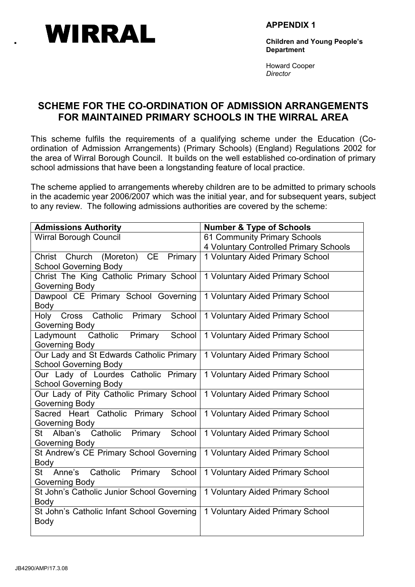

APPENDIX 1

Children and Young People's **Department** 

Howard Cooper **Director** 

# SCHEME FOR THE CO-ORDINATION OF ADMISSION ARRANGEMENTS FOR MAINTAINED PRIMARY SCHOOLS IN THE WIRRAL AREA

This scheme fulfils the requirements of a qualifying scheme under the Education (Coordination of Admission Arrangements) (Primary Schools) (England) Regulations 2002 for the area of Wirral Borough Council. It builds on the well established co-ordination of primary school admissions that have been a longstanding feature of local practice.

The scheme applied to arrangements whereby children are to be admitted to primary schools in the academic year 2006/2007 which was the initial year, and for subsequent years, subject to any review. The following admissions authorities are covered by the scheme:

| <b>Admissions Authority</b>                   | <b>Number &amp; Type of Schools</b>    |
|-----------------------------------------------|----------------------------------------|
| <b>Wirral Borough Council</b>                 | 61 Community Primary Schools           |
|                                               | 4 Voluntary Controlled Primary Schools |
| Christ Church (Moreton) CE<br>Primary         | 1 Voluntary Aided Primary School       |
| <b>School Governing Body</b>                  |                                        |
| Christ The King Catholic Primary School       | 1 Voluntary Aided Primary School       |
| Governing Body                                |                                        |
| Dawpool CE Primary School Governing           | 1 Voluntary Aided Primary School       |
| Body                                          |                                        |
| Holy Cross Catholic Primary School            | 1 Voluntary Aided Primary School       |
| Governing Body                                |                                        |
| Catholic<br>Primary<br>School<br>Ladymount    | 1 Voluntary Aided Primary School       |
| Governing Body                                |                                        |
| Our Lady and St Edwards Catholic Primary      | 1 Voluntary Aided Primary School       |
| <b>School Governing Body</b>                  |                                        |
| Our Lady of Lourdes Catholic Primary          | 1 Voluntary Aided Primary School       |
| <b>School Governing Body</b>                  |                                        |
| Our Lady of Pity Catholic Primary School      | 1 Voluntary Aided Primary School       |
| Governing Body                                |                                        |
| Sacred Heart Catholic Primary School          | 1 Voluntary Aided Primary School       |
| Governing Body                                |                                        |
| St Alban's Catholic<br>School<br>Primary      | 1 Voluntary Aided Primary School       |
| Governing Body                                |                                        |
| St Andrew's CE Primary School Governing       | 1 Voluntary Aided Primary School       |
| Body                                          |                                        |
| Catholic<br>Primary<br>School<br>Anne's<br>St | 1 Voluntary Aided Primary School       |
| Governing Body                                |                                        |
| St John's Catholic Junior School Governing    | 1 Voluntary Aided Primary School       |
| <b>Body</b>                                   |                                        |
| St John's Catholic Infant School Governing    | 1 Voluntary Aided Primary School       |
| Body                                          |                                        |
|                                               |                                        |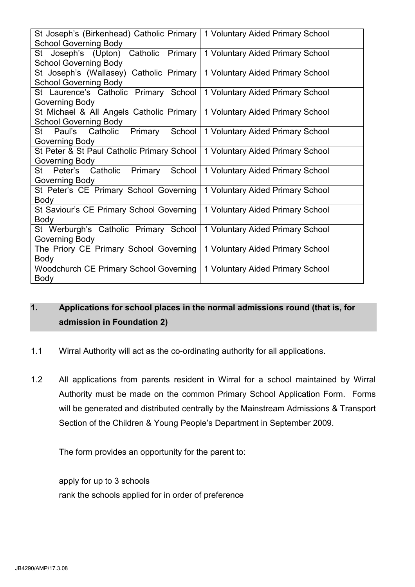| St Joseph's (Birkenhead) Catholic Primary  | 1 Voluntary Aided Primary School |
|--------------------------------------------|----------------------------------|
| <b>School Governing Body</b>               |                                  |
| St Joseph's (Upton) Catholic Primary       | 1 Voluntary Aided Primary School |
| <b>School Governing Body</b>               |                                  |
| St Joseph's (Wallasey) Catholic Primary    | 1 Voluntary Aided Primary School |
| <b>School Governing Body</b>               |                                  |
| St Laurence's Catholic Primary School      | 1 Voluntary Aided Primary School |
| Governing Body                             |                                  |
| St Michael & All Angels Catholic Primary   | 1 Voluntary Aided Primary School |
| <b>School Governing Body</b>               |                                  |
| St Paul's Catholic Primary<br>School       | 1 Voluntary Aided Primary School |
| Governing Body                             |                                  |
| St Peter & St Paul Catholic Primary School | 1 Voluntary Aided Primary School |
| Governing Body                             |                                  |
| Primary<br>School<br>St Peter's Catholic   | 1 Voluntary Aided Primary School |
| Governing Body                             |                                  |
| St Peter's CE Primary School Governing     | 1 Voluntary Aided Primary School |
| <b>Body</b>                                |                                  |
| St Saviour's CE Primary School Governing   | 1 Voluntary Aided Primary School |
| Body                                       |                                  |
| St Werburgh's Catholic Primary School      | 1 Voluntary Aided Primary School |
| Governing Body                             |                                  |
| The Priory CE Primary School Governing     | 1 Voluntary Aided Primary School |
| <b>Body</b>                                |                                  |
| Woodchurch CE Primary School Governing     | 1 Voluntary Aided Primary School |
| Body                                       |                                  |

# 1. Applications for school places in the normal admissions round (that is, for admission in Foundation 2)

- 1.1 Wirral Authority will act as the co-ordinating authority for all applications.
- 1.2 All applications from parents resident in Wirral for a school maintained by Wirral Authority must be made on the common Primary School Application Form. Forms will be generated and distributed centrally by the Mainstream Admissions & Transport Section of the Children & Young People's Department in September 2009.

The form provides an opportunity for the parent to:

 apply for up to 3 schools rank the schools applied for in order of preference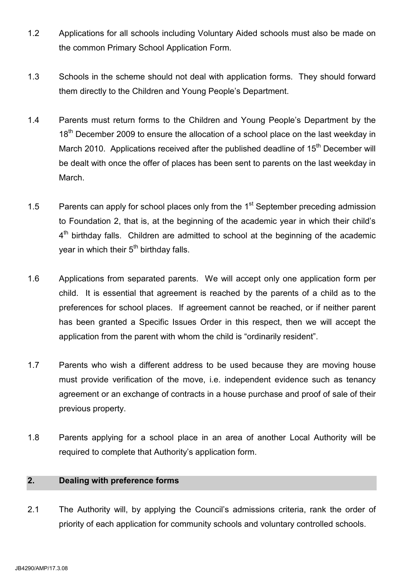- 1.2 Applications for all schools including Voluntary Aided schools must also be made on the common Primary School Application Form.
- 1.3 Schools in the scheme should not deal with application forms. They should forward them directly to the Children and Young People's Department.
- 1.4 Parents must return forms to the Children and Young People's Department by the 18<sup>th</sup> December 2009 to ensure the allocation of a school place on the last weekday in March 2010. Applications received after the published deadline of  $15<sup>th</sup>$  December will be dealt with once the offer of places has been sent to parents on the last weekday in March.
- 1.5 Parents can apply for school places only from the  $1<sup>st</sup>$  September preceding admission to Foundation 2, that is, at the beginning of the academic year in which their child's  $4<sup>th</sup>$  birthday falls. Children are admitted to school at the beginning of the academic year in which their 5<sup>th</sup> birthday falls.
- 1.6 Applications from separated parents. We will accept only one application form per child. It is essential that agreement is reached by the parents of a child as to the preferences for school places. If agreement cannot be reached, or if neither parent has been granted a Specific Issues Order in this respect, then we will accept the application from the parent with whom the child is "ordinarily resident".
- 1.7 Parents who wish a different address to be used because they are moving house must provide verification of the move, i.e. independent evidence such as tenancy agreement or an exchange of contracts in a house purchase and proof of sale of their previous property.
- 1.8 Parents applying for a school place in an area of another Local Authority will be required to complete that Authority's application form.

# 2. Dealing with preference forms

2.1 The Authority will, by applying the Council's admissions criteria, rank the order of priority of each application for community schools and voluntary controlled schools.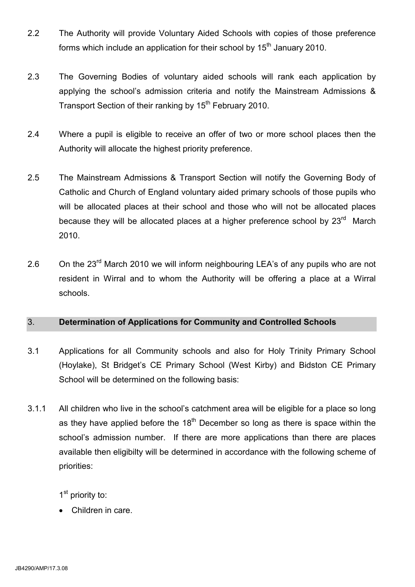- 2.2 The Authority will provide Voluntary Aided Schools with copies of those preference forms which include an application for their school by  $15<sup>th</sup>$  January 2010.
- 2.3 The Governing Bodies of voluntary aided schools will rank each application by applying the school's admission criteria and notify the Mainstream Admissions & Transport Section of their ranking by 15<sup>th</sup> February 2010.
- 2.4 Where a pupil is eligible to receive an offer of two or more school places then the Authority will allocate the highest priority preference.
- 2.5 The Mainstream Admissions & Transport Section will notify the Governing Body of Catholic and Church of England voluntary aided primary schools of those pupils who will be allocated places at their school and those who will not be allocated places because they will be allocated places at a higher preference school by 23<sup>rd</sup> March 2010.
- 2.6 On the 23<sup>rd</sup> March 2010 we will inform neighbouring LEA's of any pupils who are not resident in Wirral and to whom the Authority will be offering a place at a Wirral schools.

# 3. Determination of Applications for Community and Controlled Schools

- 3.1 Applications for all Community schools and also for Holy Trinity Primary School (Hoylake), St Bridget's CE Primary School (West Kirby) and Bidston CE Primary School will be determined on the following basis:
- 3.1.1 All children who live in the school's catchment area will be eligible for a place so long as they have applied before the  $18<sup>th</sup>$  December so long as there is space within the school's admission number. If there are more applications than there are places available then eligibilty will be determined in accordance with the following scheme of priorities:

1<sup>st</sup> priority to:

Children in care.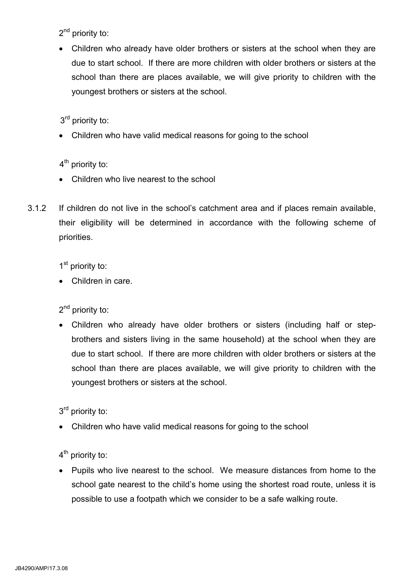2<sup>nd</sup> priority to:

• Children who already have older brothers or sisters at the school when they are due to start school. If there are more children with older brothers or sisters at the school than there are places available, we will give priority to children with the youngest brothers or sisters at the school.

3<sup>rd</sup> priority to:

• Children who have valid medical reasons for going to the school

4<sup>th</sup> priority to:

- Children who live nearest to the school
- 3.1.2 If children do not live in the school's catchment area and if places remain available, their eligibility will be determined in accordance with the following scheme of priorities.

1<sup>st</sup> priority to:

• Children in care.

2<sup>nd</sup> priority to:

• Children who already have older brothers or sisters (including half or stepbrothers and sisters living in the same household) at the school when they are due to start school. If there are more children with older brothers or sisters at the school than there are places available, we will give priority to children with the youngest brothers or sisters at the school.

3<sup>rd</sup> priority to:

• Children who have valid medical reasons for going to the school

 $4<sup>th</sup>$  priority to:

• Pupils who live nearest to the school. We measure distances from home to the school gate nearest to the child's home using the shortest road route, unless it is possible to use a footpath which we consider to be a safe walking route.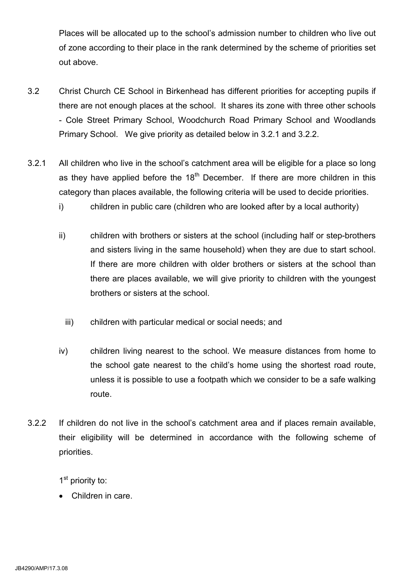Places will be allocated up to the school's admission number to children who live out of zone according to their place in the rank determined by the scheme of priorities set out above.

- 3.2 Christ Church CE School in Birkenhead has different priorities for accepting pupils if there are not enough places at the school. It shares its zone with three other schools - Cole Street Primary School, Woodchurch Road Primary School and Woodlands Primary School. We give priority as detailed below in 3.2.1 and 3.2.2.
- 3.2.1 All children who live in the school's catchment area will be eligible for a place so long as they have applied before the  $18<sup>th</sup>$  December. If there are more children in this category than places available, the following criteria will be used to decide priorities.
	- i) children in public care (children who are looked after by a local authority)
	- ii) children with brothers or sisters at the school (including half or step-brothers and sisters living in the same household) when they are due to start school. If there are more children with older brothers or sisters at the school than there are places available, we will give priority to children with the youngest brothers or sisters at the school.
		- iii) children with particular medical or social needs; and
	- iv) children living nearest to the school. We measure distances from home to the school gate nearest to the child's home using the shortest road route, unless it is possible to use a footpath which we consider to be a safe walking route.
- 3.2.2 If children do not live in the school's catchment area and if places remain available, their eligibility will be determined in accordance with the following scheme of priorities.

1<sup>st</sup> priority to:

Children in care.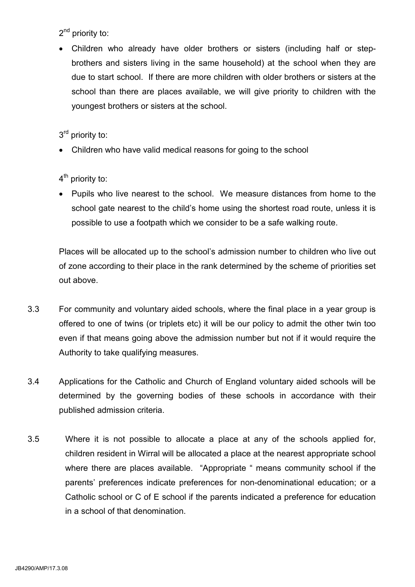2<sup>nd</sup> priority to:

• Children who already have older brothers or sisters (including half or stepbrothers and sisters living in the same household) at the school when they are due to start school. If there are more children with older brothers or sisters at the school than there are places available, we will give priority to children with the youngest brothers or sisters at the school.

3<sup>rd</sup> priority to:

• Children who have valid medical reasons for going to the school

4<sup>th</sup> priority to:

• Pupils who live nearest to the school. We measure distances from home to the school gate nearest to the child's home using the shortest road route, unless it is possible to use a footpath which we consider to be a safe walking route.

 Places will be allocated up to the school's admission number to children who live out of zone according to their place in the rank determined by the scheme of priorities set out above.

- 3.3 For community and voluntary aided schools, where the final place in a year group is offered to one of twins (or triplets etc) it will be our policy to admit the other twin too even if that means going above the admission number but not if it would require the Authority to take qualifying measures.
- 3.4 Applications for the Catholic and Church of England voluntary aided schools will be determined by the governing bodies of these schools in accordance with their published admission criteria.
- 3.5 Where it is not possible to allocate a place at any of the schools applied for, children resident in Wirral will be allocated a place at the nearest appropriate school where there are places available. "Appropriate " means community school if the parents' preferences indicate preferences for non-denominational education; or a Catholic school or C of E school if the parents indicated a preference for education in a school of that denomination.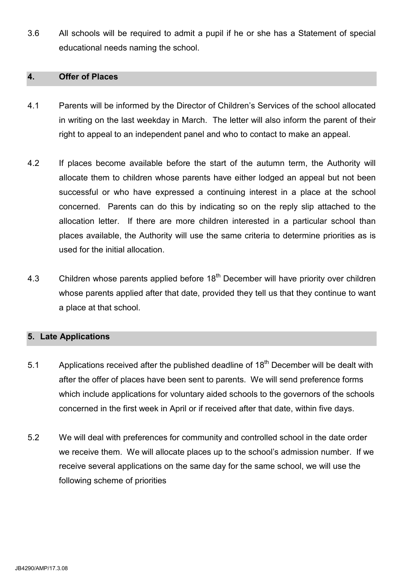3.6 All schools will be required to admit a pupil if he or she has a Statement of special educational needs naming the school.

#### 4. Offer of Places

- 4.1 Parents will be informed by the Director of Children's Services of the school allocated in writing on the last weekday in March. The letter will also inform the parent of their right to appeal to an independent panel and who to contact to make an appeal.
- 4.2 If places become available before the start of the autumn term, the Authority will allocate them to children whose parents have either lodged an appeal but not been successful or who have expressed a continuing interest in a place at the school concerned. Parents can do this by indicating so on the reply slip attached to the allocation letter. If there are more children interested in a particular school than places available, the Authority will use the same criteria to determine priorities as is used for the initial allocation.
- 4.3 Children whose parents applied before 18<sup>th</sup> December will have priority over children whose parents applied after that date, provided they tell us that they continue to want a place at that school.

#### 5. Late Applications

- 5.1 Applications received after the published deadline of  $18<sup>th</sup>$  December will be dealt with after the offer of places have been sent to parents. We will send preference forms which include applications for voluntary aided schools to the governors of the schools concerned in the first week in April or if received after that date, within five days.
- 5.2 We will deal with preferences for community and controlled school in the date order we receive them. We will allocate places up to the school's admission number. If we receive several applications on the same day for the same school, we will use the following scheme of priorities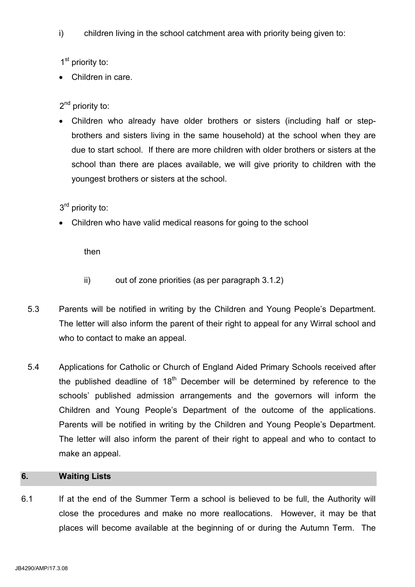i) children living in the school catchment area with priority being given to:

1<sup>st</sup> priority to:

Children in care.

2<sup>nd</sup> priority to:

• Children who already have older brothers or sisters (including half or stepbrothers and sisters living in the same household) at the school when they are due to start school. If there are more children with older brothers or sisters at the school than there are places available, we will give priority to children with the youngest brothers or sisters at the school.

3<sup>rd</sup> priority to:

• Children who have valid medical reasons for going to the school

then

- ii) out of zone priorities (as per paragraph 3.1.2)
- 5.3 Parents will be notified in writing by the Children and Young People's Department. The letter will also inform the parent of their right to appeal for any Wirral school and who to contact to make an appeal.
- 5.4 Applications for Catholic or Church of England Aided Primary Schools received after the published deadline of  $18<sup>th</sup>$  December will be determined by reference to the schools' published admission arrangements and the governors will inform the Children and Young People's Department of the outcome of the applications. Parents will be notified in writing by the Children and Young People's Department. The letter will also inform the parent of their right to appeal and who to contact to make an appeal.

# 6. Waiting Lists

6.1 If at the end of the Summer Term a school is believed to be full, the Authority will close the procedures and make no more reallocations. However, it may be that places will become available at the beginning of or during the Autumn Term. The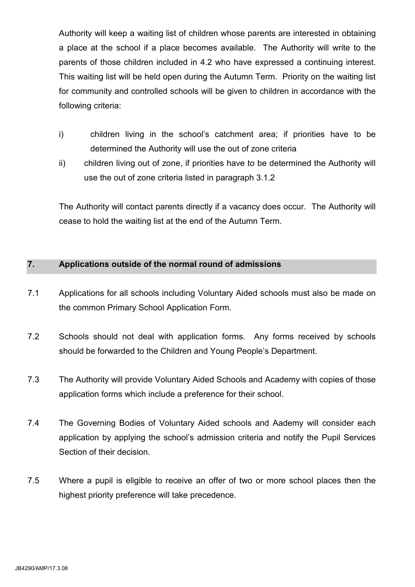Authority will keep a waiting list of children whose parents are interested in obtaining a place at the school if a place becomes available. The Authority will write to the parents of those children included in 4.2 who have expressed a continuing interest. This waiting list will be held open during the Autumn Term. Priority on the waiting list for community and controlled schools will be given to children in accordance with the following criteria:

- i) children living in the school's catchment area; if priorities have to be determined the Authority will use the out of zone criteria
- ii) children living out of zone, if priorities have to be determined the Authority will use the out of zone criteria listed in paragraph 3.1.2

 The Authority will contact parents directly if a vacancy does occur. The Authority will cease to hold the waiting list at the end of the Autumn Term.

# 7. Applications outside of the normal round of admissions

- 7.1 Applications for all schools including Voluntary Aided schools must also be made on the common Primary School Application Form.
- 7.2 Schools should not deal with application forms. Any forms received by schools should be forwarded to the Children and Young People's Department.
- 7.3 The Authority will provide Voluntary Aided Schools and Academy with copies of those application forms which include a preference for their school.
- 7.4 The Governing Bodies of Voluntary Aided schools and Aademy will consider each application by applying the school's admission criteria and notify the Pupil Services Section of their decision.
- 7.5 Where a pupil is eligible to receive an offer of two or more school places then the highest priority preference will take precedence.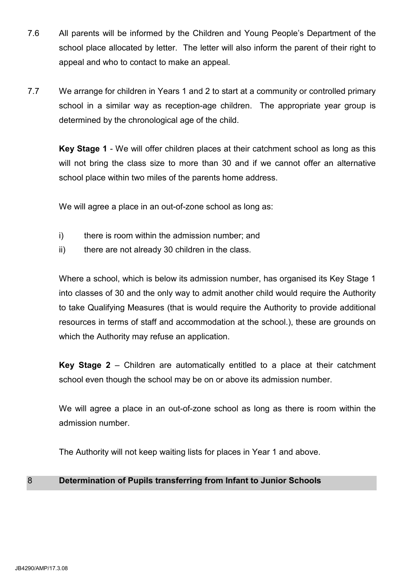- 7.6 All parents will be informed by the Children and Young People's Department of the school place allocated by letter. The letter will also inform the parent of their right to appeal and who to contact to make an appeal.
- 7.7 We arrange for children in Years 1 and 2 to start at a community or controlled primary school in a similar way as reception-age children. The appropriate year group is determined by the chronological age of the child.

 Key Stage 1 - We will offer children places at their catchment school as long as this will not bring the class size to more than 30 and if we cannot offer an alternative school place within two miles of the parents home address.

We will agree a place in an out-of-zone school as long as:

- i) there is room within the admission number; and
- ii) there are not already 30 children in the class.

 Where a school, which is below its admission number, has organised its Key Stage 1 into classes of 30 and the only way to admit another child would require the Authority to take Qualifying Measures (that is would require the Authority to provide additional resources in terms of staff and accommodation at the school.), these are grounds on which the Authority may refuse an application.

 Key Stage 2 – Children are automatically entitled to a place at their catchment school even though the school may be on or above its admission number.

 We will agree a place in an out-of-zone school as long as there is room within the admission number.

The Authority will not keep waiting lists for places in Year 1 and above.

# 8 Determination of Pupils transferring from Infant to Junior Schools